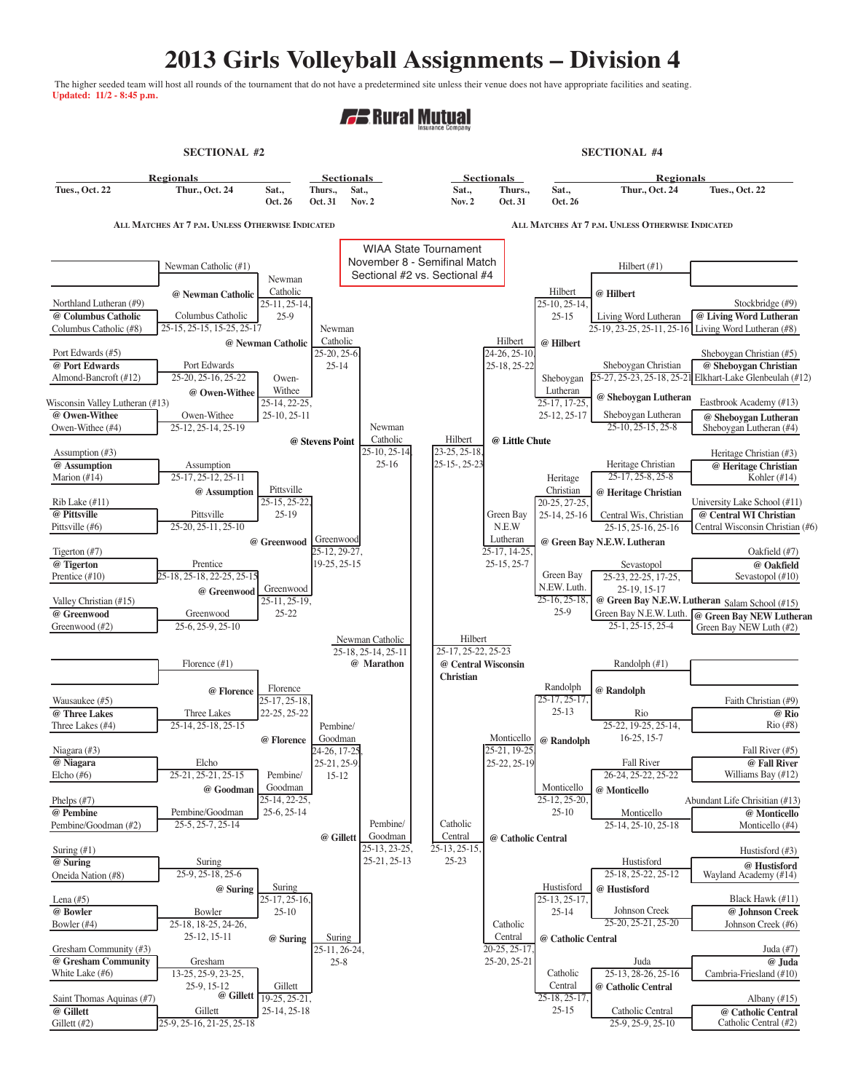## **2013 Girls Volleyball Assignments – Division 4**

The higher seeded team will host all rounds of the tournament that do not have a predetermined site unless their venue does not have appropriate facilities and seating. **Updated: 11/2 - 8:45 p.m.**

## **FF** Rural Mutual